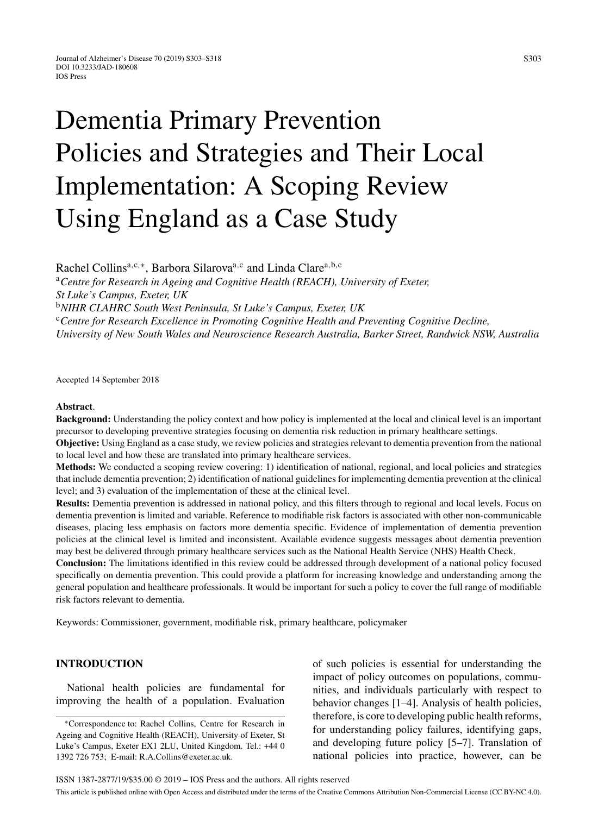# Dementia Primary Prevention Policies and Strategies and Their Local Implementation: A Scoping Review Using England as a Case Study

Rachel Collins<sup>a,c,∗</sup>, Barbora Silarova<sup>a,c</sup> and Linda Clare<sup>a,b,c</sup> <sup>a</sup>*Centre for Research in Ageing and Cognitive Health (REACH), University of Exeter, St Luke's Campus, Exeter, UK* <sup>b</sup>*NIHR CLAHRC South West Peninsula, St Luke's Campus, Exeter, UK* <sup>c</sup>*Centre for Research Excellence in Promoting Cognitive Health and Preventing Cognitive Decline, University of New South Wales and Neuroscience Research Australia, Barker Street, Randwick NSW, Australia*

Accepted 14 September 2018

#### **Abstract**.

**Background:** Understanding the policy context and how policy is implemented at the local and clinical level is an important precursor to developing preventive strategies focusing on dementia risk reduction in primary healthcare settings.

**Objective:** Using England as a case study, we review policies and strategies relevant to dementia prevention from the national to local level and how these are translated into primary healthcare services.

**Methods:** We conducted a scoping review covering: 1) identification of national, regional, and local policies and strategies that include dementia prevention; 2) identification of national guidelines for implementing dementia prevention at the clinical level; and 3) evaluation of the implementation of these at the clinical level.

**Results:** Dementia prevention is addressed in national policy, and this filters through to regional and local levels. Focus on dementia prevention is limited and variable. Reference to modifiable risk factors is associated with other non-communicable diseases, placing less emphasis on factors more dementia specific. Evidence of implementation of dementia prevention policies at the clinical level is limited and inconsistent. Available evidence suggests messages about dementia prevention may best be delivered through primary healthcare services such as the National Health Service (NHS) Health Check.

**Conclusion:** The limitations identified in this review could be addressed through development of a national policy focused specifically on dementia prevention. This could provide a platform for increasing knowledge and understanding among the general population and healthcare professionals. It would be important for such a policy to cover the full range of modifiable risk factors relevant to dementia.

Keywords: Commissioner, government, modifiable risk, primary healthcare, policymaker

# **INTRODUCTION**

National health policies are fundamental for improving the health of a population. Evaluation of such policies is essential for understanding the impact of policy outcomes on populations, communities, and individuals particularly with respect to behavior changes [1–4]. Analysis of health policies, therefore, is core to developing public health reforms, for understanding policy failures, identifying gaps, and developing future policy [5–7]. Translation of national policies into practice, however, can be

<sup>∗</sup>Correspondence to: Rachel Collins, Centre for Research in Ageing and Cognitive Health (REACH), University of Exeter, St Luke's Campus, Exeter EX1 2LU, United Kingdom. Tel.: +44 0 1392 726 753; E-mail: [R.A.Collins@exeter.ac.uk](mailto:R.A.Collins@exeter.ac.uk).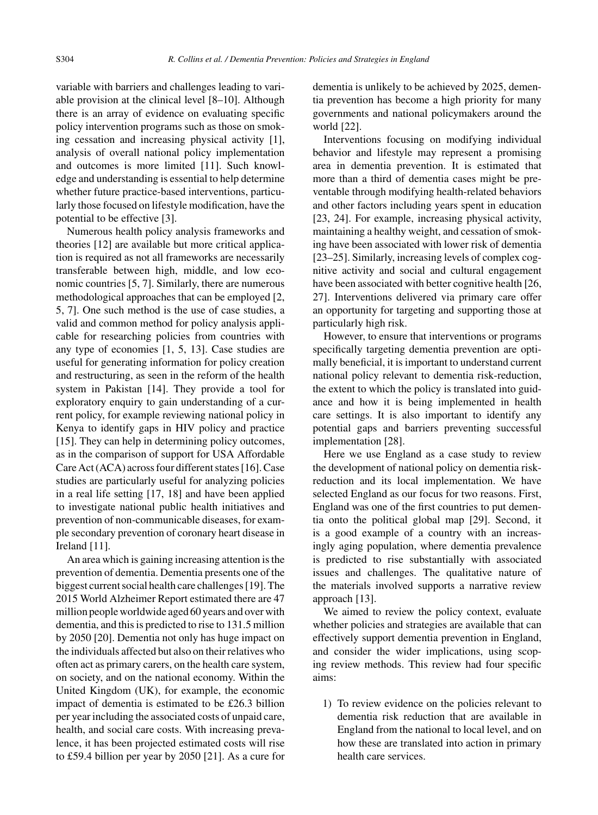variable with barriers and challenges leading to variable provision at the clinical level [8–10]. Although there is an array of evidence on evaluating specific policy intervention programs such as those on smoking cessation and increasing physical activity [1], analysis of overall national policy implementation and outcomes is more limited [11]. Such knowledge and understanding is essential to help determine whether future practice-based interventions, particularly those focused on lifestyle modification, have the potential to be effective [3].

Numerous health policy analysis frameworks and theories [12] are available but more critical application is required as not all frameworks are necessarily transferable between high, middle, and low economic countries [5, 7]. Similarly, there are numerous methodological approaches that can be employed [2, 5, 7]. One such method is the use of case studies, a valid and common method for policy analysis applicable for researching policies from countries with any type of economies [1, 5, 13]. Case studies are useful for generating information for policy creation and restructuring, as seen in the reform of the health system in Pakistan [14]. They provide a tool for exploratory enquiry to gain understanding of a current policy, for example reviewing national policy in Kenya to identify gaps in HIV policy and practice [15]. They can help in determining policy outcomes, as in the comparison of support for USA Affordable Care Act (ACA) across four different states [16]. Case studies are particularly useful for analyzing policies in a real life setting [17, 18] and have been applied to investigate national public health initiatives and prevention of non-communicable diseases, for example secondary prevention of coronary heart disease in Ireland [11].

An area which is gaining increasing attention is the prevention of dementia. Dementia presents one of the biggest current social health care challenges [19]. The 2015 World Alzheimer Report estimated there are 47 million people worldwide aged 60 years and over with dementia, and this is predicted to rise to 131.5 million by 2050 [20]. Dementia not only has huge impact on the individuals affected but also on their relatives who often act as primary carers, on the health care system, on society, and on the national economy. Within the United Kingdom (UK), for example, the economic impact of dementia is estimated to be £26.3 billion per year including the associated costs of unpaid care, health, and social care costs. With increasing prevalence, it has been projected estimated costs will rise to £59.4 billion per year by 2050 [21]. As a cure for

dementia is unlikely to be achieved by 2025, dementia prevention has become a high priority for many governments and national policymakers around the world [22].

Interventions focusing on modifying individual behavior and lifestyle may represent a promising area in dementia prevention. It is estimated that more than a third of dementia cases might be preventable through modifying health-related behaviors and other factors including years spent in education [23, 24]. For example, increasing physical activity, maintaining a healthy weight, and cessation of smoking have been associated with lower risk of dementia [23–25]. Similarly, increasing levels of complex cognitive activity and social and cultural engagement have been associated with better cognitive health [26, 27]. Interventions delivered via primary care offer an opportunity for targeting and supporting those at particularly high risk.

However, to ensure that interventions or programs specifically targeting dementia prevention are optimally beneficial, it is important to understand current national policy relevant to dementia risk-reduction, the extent to which the policy is translated into guidance and how it is being implemented in health care settings. It is also important to identify any potential gaps and barriers preventing successful implementation [28].

Here we use England as a case study to review the development of national policy on dementia riskreduction and its local implementation. We have selected England as our focus for two reasons. First, England was one of the first countries to put dementia onto the political global map [29]. Second, it is a good example of a country with an increasingly aging population, where dementia prevalence is predicted to rise substantially with associated issues and challenges. The qualitative nature of the materials involved supports a narrative review approach [13].

We aimed to review the policy context, evaluate whether policies and strategies are available that can effectively support dementia prevention in England, and consider the wider implications, using scoping review methods. This review had four specific aims:

1) To review evidence on the policies relevant to dementia risk reduction that are available in England from the national to local level, and on how these are translated into action in primary health care services.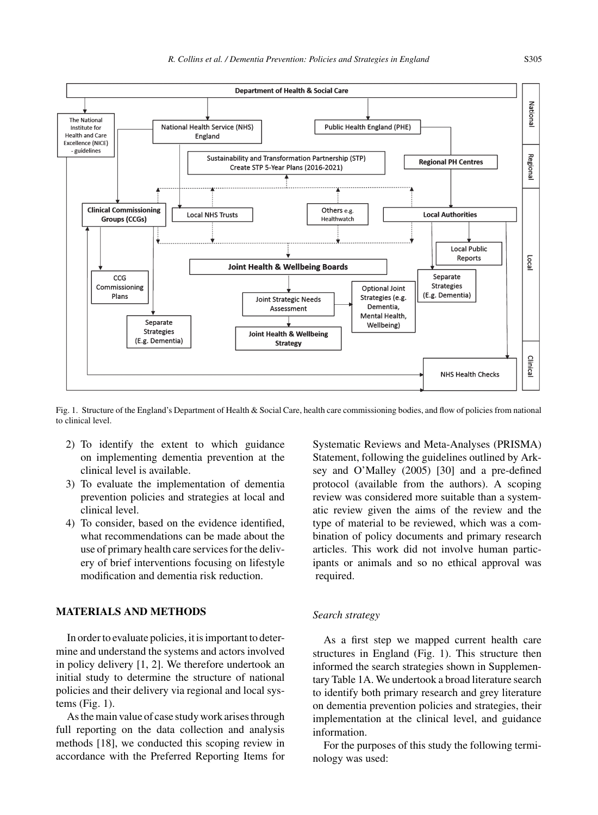

Fig. 1. Structure of the England's Department of Health & Social Care, health care commissioning bodies, and flow of policies from national to clinical level.

- 2) To identify the extent to which guidance on implementing dementia prevention at the clinical level is available.
- 3) To evaluate the implementation of dementia prevention policies and strategies at local and clinical level.
- 4) To consider, based on the evidence identified, what recommendations can be made about the use of primary health care services for the delivery of brief interventions focusing on lifestyle modification and dementia risk reduction.

# **MATERIALS AND METHODS**

In order to evaluate policies, it is important to determine and understand the systems and actors involved in policy delivery [1, 2]. We therefore undertook an initial study to determine the structure of national policies and their delivery via regional and local systems (Fig. 1).

As the main value of case study work arises through full reporting on the data collection and analysis methods [18], we conducted this scoping review in accordance with the Preferred Reporting Items for

Systematic Reviews and Meta-Analyses (PRISMA) Statement, following the guidelines outlined by Arksey and O'Malley (2005) [30] and a pre-defined protocol (available from the authors). A scoping review was considered more suitable than a systematic review given the aims of the review and the type of material to be reviewed, which was a combination of policy documents and primary research articles. This work did not involve human participants or animals and so no ethical approval was required.

## *Search strategy*

As a first step we mapped current health care structures in England (Fig. 1). This structure then informed the search strategies shown in Supplementary Table 1A. We undertook a broad literature search to identify both primary research and grey literature on dementia prevention policies and strategies, their implementation at the clinical level, and guidance information.

For the purposes of this study the following terminology was used: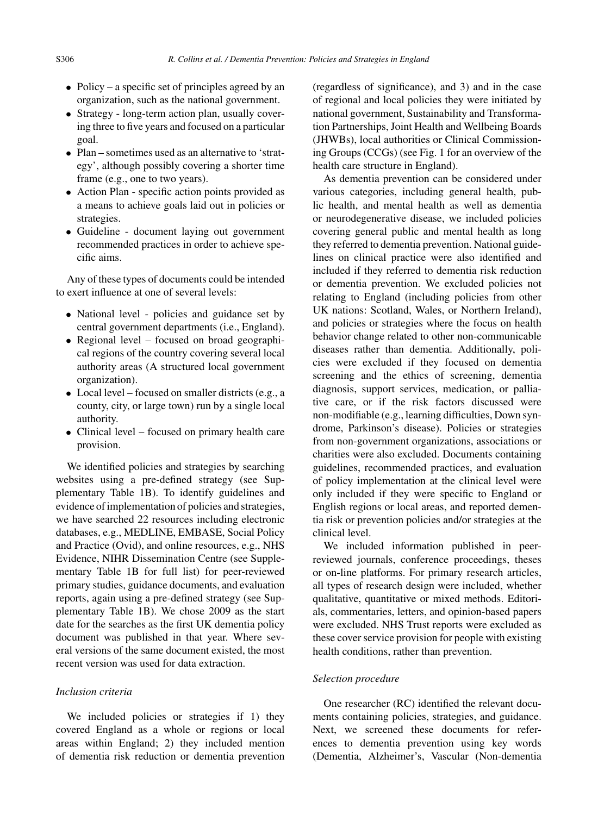- Policy a specific set of principles agreed by an organization, such as the national government.
- Strategy long-term action plan, usually covering three to five years and focused on a particular goal.
- Plan sometimes used as an alternative to 'strategy', although possibly covering a shorter time frame (e.g., one to two years).
- Action Plan specific action points provided as a means to achieve goals laid out in policies or strategies.
- Guideline document laying out government recommended practices in order to achieve specific aims.

Any of these types of documents could be intended to exert influence at one of several levels:

- National level policies and guidance set by central government departments (i.e., England).
- Regional level focused on broad geographical regions of the country covering several local authority areas (A structured local government organization).
- Local level focused on smaller districts (e.g., a county, city, or large town) run by a single local authority.
- Clinical level focused on primary health care provision.

We identified policies and strategies by searching websites using a pre-defined strategy (see Supplementary Table 1B). To identify guidelines and evidence of implementation of policies and strategies, we have searched 22 resources including electronic databases, e.g., MEDLINE, EMBASE, Social Policy and Practice (Ovid), and online resources, e.g., NHS Evidence, NIHR Dissemination Centre (see Supplementary Table 1B for full list) for peer-reviewed primary studies, guidance documents, and evaluation reports, again using a pre-defined strategy (see Supplementary Table 1B). We chose 2009 as the start date for the searches as the first UK dementia policy document was published in that year. Where several versions of the same document existed, the most recent version was used for data extraction.

# *Inclusion criteria*

We included policies or strategies if 1) they covered England as a whole or regions or local areas within England; 2) they included mention of dementia risk reduction or dementia prevention

(regardless of significance), and 3) and in the case of regional and local policies they were initiated by national government, Sustainability and Transformation Partnerships, Joint Health and Wellbeing Boards (JHWBs), local authorities or Clinical Commissioning Groups (CCGs) (see Fig. 1 for an overview of the health care structure in England).

As dementia prevention can be considered under various categories, including general health, public health, and mental health as well as dementia or neurodegenerative disease, we included policies covering general public and mental health as long they referred to dementia prevention. National guidelines on clinical practice were also identified and included if they referred to dementia risk reduction or dementia prevention. We excluded policies not relating to England (including policies from other UK nations: Scotland, Wales, or Northern Ireland), and policies or strategies where the focus on health behavior change related to other non-communicable diseases rather than dementia. Additionally, policies were excluded if they focused on dementia screening and the ethics of screening, dementia diagnosis, support services, medication, or palliative care, or if the risk factors discussed were non-modifiable (e.g., learning difficulties, Down syndrome, Parkinson's disease). Policies or strategies from non-government organizations, associations or charities were also excluded. Documents containing guidelines, recommended practices, and evaluation of policy implementation at the clinical level were only included if they were specific to England or English regions or local areas, and reported dementia risk or prevention policies and/or strategies at the clinical level.

We included information published in peerreviewed journals, conference proceedings, theses or on-line platforms. For primary research articles, all types of research design were included, whether qualitative, quantitative or mixed methods. Editorials, commentaries, letters, and opinion-based papers were excluded. NHS Trust reports were excluded as these cover service provision for people with existing health conditions, rather than prevention.

#### *Selection procedure*

One researcher (RC) identified the relevant documents containing policies, strategies, and guidance. Next, we screened these documents for references to dementia prevention using key words (Dementia, Alzheimer's, Vascular (Non-dementia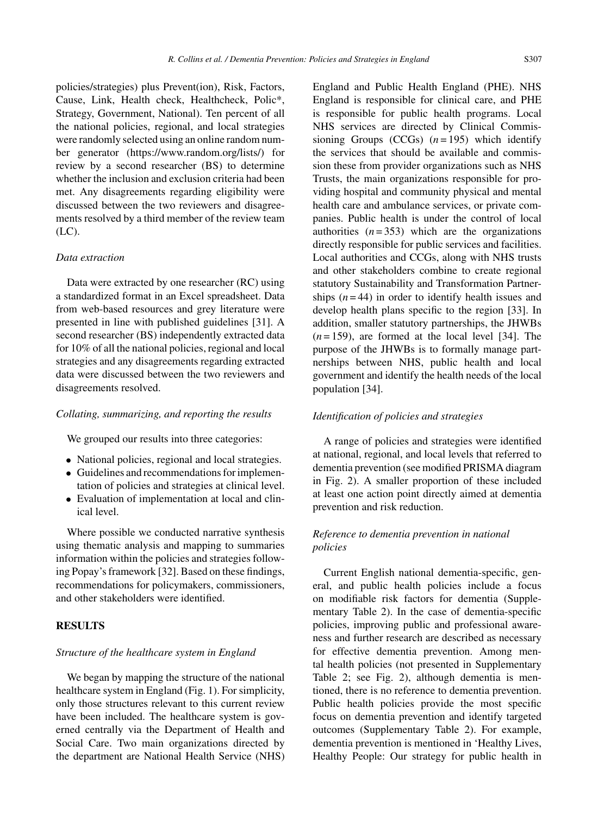policies/strategies) plus Prevent(ion), Risk, Factors, Cause, Link, Health check, Healthcheck, Polic\*, Strategy, Government, National). Ten percent of all the national policies, regional, and local strategies were randomly selected using an online random number generator (<https://www.random.org/lists/>) for review by a second researcher (BS) to determine whether the inclusion and exclusion criteria had been met. Any disagreements regarding eligibility were discussed between the two reviewers and disagreements resolved by a third member of the review team (LC).

## *Data extraction*

Data were extracted by one researcher (RC) using a standardized format in an Excel spreadsheet. Data from web-based resources and grey literature were presented in line with published guidelines [31]. A second researcher (BS) independently extracted data for 10% of all the national policies, regional and local strategies and any disagreements regarding extracted data were discussed between the two reviewers and disagreements resolved.

## *Collating, summarizing, and reporting the results*

We grouped our results into three categories:

- National policies, regional and local strategies.
- Guidelines and recommendations for implementation of policies and strategies at clinical level.
- Evaluation of implementation at local and clinical level.

Where possible we conducted narrative synthesis using thematic analysis and mapping to summaries information within the policies and strategies following Popay's framework [32]. Based on these findings, recommendations for policymakers, commissioners, and other stakeholders were identified.

# **RESULTS**

#### *Structure of the healthcare system in England*

We began by mapping the structure of the national healthcare system in England (Fig. 1). For simplicity, only those structures relevant to this current review have been included. The healthcare system is governed centrally via the Department of Health and Social Care. Two main organizations directed by the department are National Health Service (NHS) England and Public Health England (PHE). NHS England is responsible for clinical care, and PHE is responsible for public health programs. Local NHS services are directed by Clinical Commissioning Groups  $(CCGs)$   $(n=195)$  which identify the services that should be available and commission these from provider organizations such as NHS Trusts, the main organizations responsible for providing hospital and community physical and mental health care and ambulance services, or private companies. Public health is under the control of local authorities  $(n=353)$  which are the organizations directly responsible for public services and facilities. Local authorities and CCGs, along with NHS trusts and other stakeholders combine to create regional statutory Sustainability and Transformation Partnerships  $(n = 44)$  in order to identify health issues and develop health plans specific to the region [33]. In addition, smaller statutory partnerships, the JHWBs  $(n=159)$ , are formed at the local level [34]. The purpose of the JHWBs is to formally manage partnerships between NHS, public health and local government and identify the health needs of the local population [34].

## *Identification of policies and strategies*

A range of policies and strategies were identified at national, regional, and local levels that referred to dementia prevention (see modified PRISMA diagram in Fig. 2). A smaller proportion of these included at least one action point directly aimed at dementia prevention and risk reduction.

# *Reference to dementia prevention in national policies*

Current English national dementia-specific, general, and public health policies include a focus on modifiable risk factors for dementia (Supplementary Table 2). In the case of dementia-specific policies, improving public and professional awareness and further research are described as necessary for effective dementia prevention. Among mental health policies (not presented in Supplementary Table 2; see Fig. 2), although dementia is mentioned, there is no reference to dementia prevention. Public health policies provide the most specific focus on dementia prevention and identify targeted outcomes (Supplementary Table 2). For example, dementia prevention is mentioned in 'Healthy Lives, Healthy People: Our strategy for public health in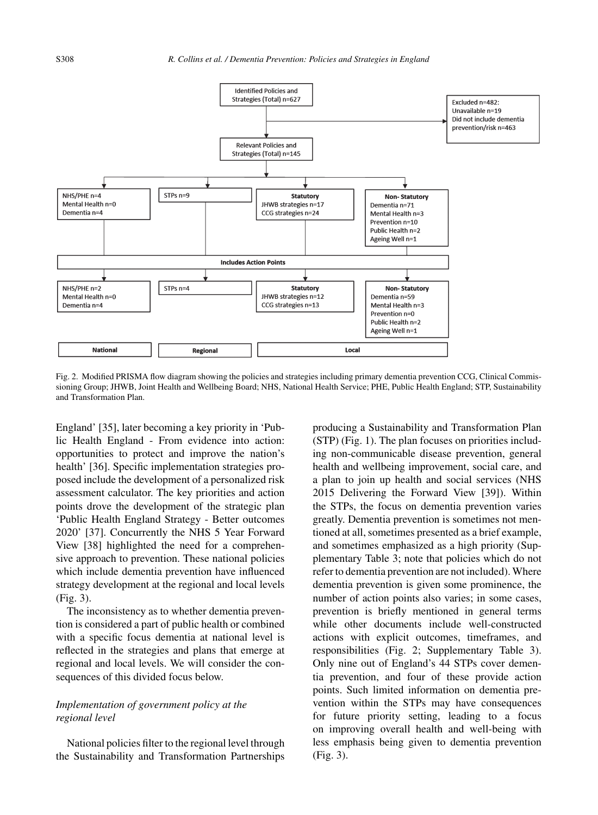

Fig. 2. Modified PRISMA flow diagram showing the policies and strategies including primary dementia prevention CCG, Clinical Commissioning Group; JHWB, Joint Health and Wellbeing Board; NHS, National Health Service; PHE, Public Health England; STP, Sustainability and Transformation Plan.

England' [35], later becoming a key priority in 'Public Health England - From evidence into action: opportunities to protect and improve the nation's health' [36]. Specific implementation strategies proposed include the development of a personalized risk assessment calculator. The key priorities and action points drove the development of the strategic plan 'Public Health England Strategy - Better outcomes 2020' [37]. Concurrently the NHS 5 Year Forward View [38] highlighted the need for a comprehensive approach to prevention. These national policies which include dementia prevention have influenced strategy development at the regional and local levels (Fig. 3).

The inconsistency as to whether dementia prevention is considered a part of public health or combined with a specific focus dementia at national level is reflected in the strategies and plans that emerge at regional and local levels. We will consider the consequences of this divided focus below.

## *Implementation of government policy at the regional level*

National policies filter to the regional level through the Sustainability and Transformation Partnerships producing a Sustainability and Transformation Plan (STP) (Fig. 1). The plan focuses on priorities including non-communicable disease prevention, general health and wellbeing improvement, social care, and a plan to join up health and social services (NHS 2015 Delivering the Forward View [39]). Within the STPs, the focus on dementia prevention varies greatly. Dementia prevention is sometimes not mentioned at all, sometimes presented as a brief example, and sometimes emphasized as a high priority (Supplementary Table 3; note that policies which do not refer to dementia prevention are not included). Where dementia prevention is given some prominence, the number of action points also varies; in some cases, prevention is briefly mentioned in general terms while other documents include well-constructed actions with explicit outcomes, timeframes, and responsibilities (Fig. 2; Supplementary Table 3). Only nine out of England's 44 STPs cover dementia prevention, and four of these provide action points. Such limited information on dementia prevention within the STPs may have consequences for future priority setting, leading to a focus on improving overall health and well-being with less emphasis being given to dementia prevention (Fig. 3).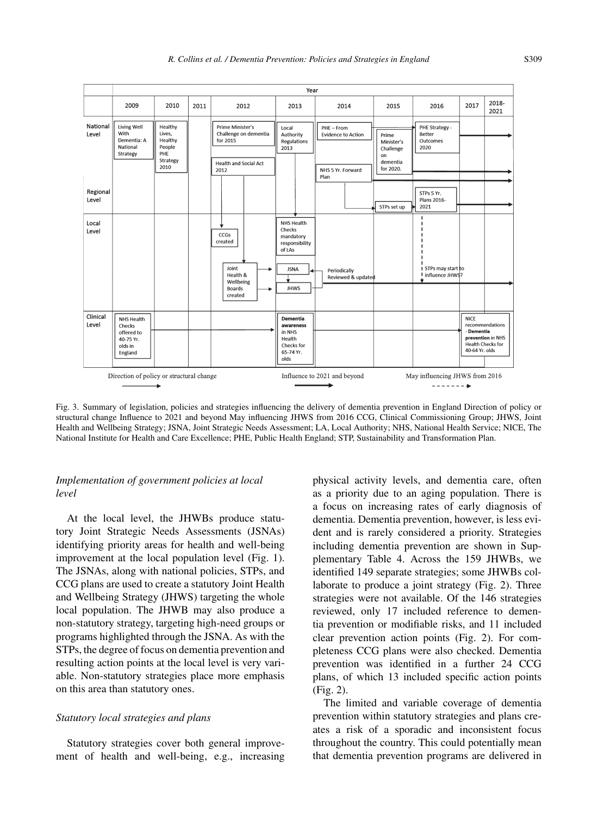

Fig. 3. Summary of legislation, policies and strategies influencing the delivery of dementia prevention in England Direction of policy or structural change Influence to 2021 and beyond May influencing JHWS from 2016 CCG, Clinical Commissioning Group; JHWS, Joint Health and Wellbeing Strategy; JSNA, Joint Strategic Needs Assessment; LA, Local Authority; NHS, National Health Service; NICE, The National Institute for Health and Care Excellence; PHE, Public Health England; STP, Sustainability and Transformation Plan.

## *Implementation of government policies at local level*

At the local level, the JHWBs produce statutory Joint Strategic Needs Assessments (JSNAs) identifying priority areas for health and well-being improvement at the local population level (Fig. 1). The JSNAs, along with national policies, STPs, and CCG plans are used to create a statutory Joint Health and Wellbeing Strategy (JHWS) targeting the whole local population. The JHWB may also produce a non-statutory strategy, targeting high-need groups or programs highlighted through the JSNA. As with the STPs, the degree of focus on dementia prevention and resulting action points at the local level is very variable. Non-statutory strategies place more emphasis on this area than statutory ones.

## *Statutory local strategies and plans*

Statutory strategies cover both general improvement of health and well-being, e.g., increasing physical activity levels, and dementia care, often as a priority due to an aging population. There is a focus on increasing rates of early diagnosis of dementia. Dementia prevention, however, is less evident and is rarely considered a priority. Strategies including dementia prevention are shown in Supplementary Table 4. Across the 159 JHWBs, we identified 149 separate strategies; some JHWBs collaborate to produce a joint strategy (Fig. 2). Three strategies were not available. Of the 146 strategies reviewed, only 17 included reference to dementia prevention or modifiable risks, and 11 included clear prevention action points (Fig. 2). For completeness CCG plans were also checked. Dementia prevention was identified in a further 24 CCG plans, of which 13 included specific action points (Fig. 2).

The limited and variable coverage of dementia prevention within statutory strategies and plans creates a risk of a sporadic and inconsistent focus throughout the country. This could potentially mean that dementia prevention programs are delivered in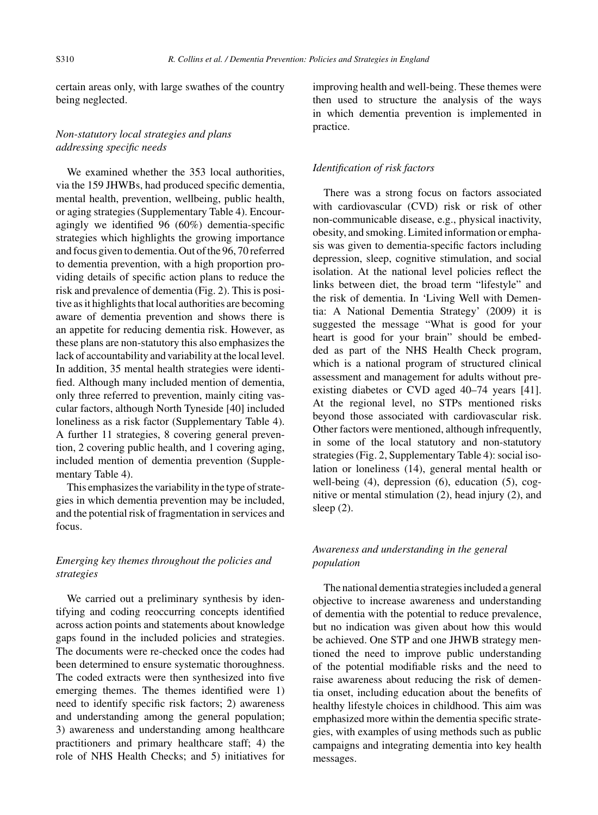certain areas only, with large swathes of the country being neglected.

# *Non-statutory local strategies and plans addressing specific needs*

We examined whether the 353 local authorities, via the 159 JHWBs, had produced specific dementia, mental health, prevention, wellbeing, public health, or aging strategies (Supplementary Table 4). Encouragingly we identified 96 (60%) dementia-specific strategies which highlights the growing importance and focus given to dementia. Out of the 96, 70 referred to dementia prevention, with a high proportion providing details of specific action plans to reduce the risk and prevalence of dementia (Fig. 2). This is positive as it highlights that local authorities are becoming aware of dementia prevention and shows there is an appetite for reducing dementia risk. However, as these plans are non-statutory this also emphasizes the lack of accountability and variability at the local level. In addition, 35 mental health strategies were identified. Although many included mention of dementia, only three referred to prevention, mainly citing vascular factors, although North Tyneside [40] included loneliness as a risk factor (Supplementary Table 4). A further 11 strategies, 8 covering general prevention, 2 covering public health, and 1 covering aging, included mention of dementia prevention (Supplementary Table 4).

This emphasizes the variability in the type of strategies in which dementia prevention may be included, and the potential risk of fragmentation in services and focus.

# *Emerging key themes throughout the policies and strategies*

We carried out a preliminary synthesis by identifying and coding reoccurring concepts identified across action points and statements about knowledge gaps found in the included policies and strategies. The documents were re-checked once the codes had been determined to ensure systematic thoroughness. The coded extracts were then synthesized into five emerging themes. The themes identified were 1) need to identify specific risk factors; 2) awareness and understanding among the general population; 3) awareness and understanding among healthcare practitioners and primary healthcare staff; 4) the role of NHS Health Checks; and 5) initiatives for improving health and well-being. These themes were then used to structure the analysis of the ways in which dementia prevention is implemented in practice.

## *Identification of risk factors*

There was a strong focus on factors associated with cardiovascular (CVD) risk or risk of other non-communicable disease, e.g., physical inactivity, obesity, and smoking. Limited information or emphasis was given to dementia-specific factors including depression, sleep, cognitive stimulation, and social isolation. At the national level policies reflect the links between diet, the broad term "lifestyle" and the risk of dementia. In 'Living Well with Dementia: A National Dementia Strategy' (2009) it is suggested the message "What is good for your heart is good for your brain" should be embedded as part of the NHS Health Check program, which is a national program of structured clinical assessment and management for adults without preexisting diabetes or CVD aged 40–74 years [41]. At the regional level, no STPs mentioned risks beyond those associated with cardiovascular risk. Other factors were mentioned, although infrequently, in some of the local statutory and non-statutory strategies (Fig. 2, Supplementary Table 4): social isolation or loneliness (14), general mental health or well-being (4), depression (6), education (5), cognitive or mental stimulation (2), head injury (2), and sleep (2).

# *Awareness and understanding in the general population*

The national dementia strategies included a general objective to increase awareness and understanding of dementia with the potential to reduce prevalence, but no indication was given about how this would be achieved. One STP and one JHWB strategy mentioned the need to improve public understanding of the potential modifiable risks and the need to raise awareness about reducing the risk of dementia onset, including education about the benefits of healthy lifestyle choices in childhood. This aim was emphasized more within the dementia specific strategies, with examples of using methods such as public campaigns and integrating dementia into key health messages.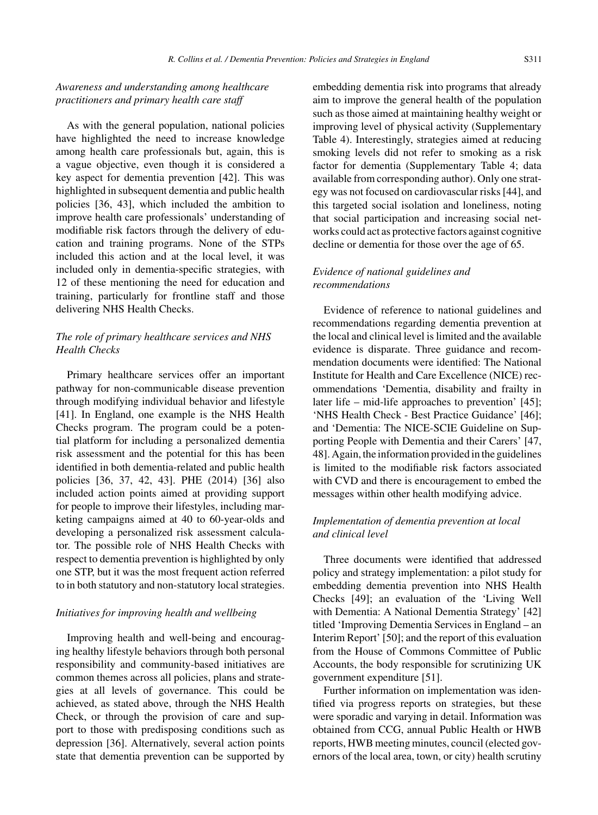# *Awareness and understanding among healthcare practitioners and primary health care staff*

As with the general population, national policies have highlighted the need to increase knowledge among health care professionals but, again, this is a vague objective, even though it is considered a key aspect for dementia prevention [42]. This was highlighted in subsequent dementia and public health policies [36, 43], which included the ambition to improve health care professionals' understanding of modifiable risk factors through the delivery of education and training programs. None of the STPs included this action and at the local level, it was included only in dementia-specific strategies, with 12 of these mentioning the need for education and training, particularly for frontline staff and those delivering NHS Health Checks.

# *The role of primary healthcare services and NHS Health Checks*

Primary healthcare services offer an important pathway for non-communicable disease prevention through modifying individual behavior and lifestyle [41]. In England, one example is the NHS Health Checks program. The program could be a potential platform for including a personalized dementia risk assessment and the potential for this has been identified in both dementia-related and public health policies [36, 37, 42, 43]. PHE (2014) [36] also included action points aimed at providing support for people to improve their lifestyles, including marketing campaigns aimed at 40 to 60-year-olds and developing a personalized risk assessment calculator. The possible role of NHS Health Checks with respect to dementia prevention is highlighted by only one STP, but it was the most frequent action referred to in both statutory and non-statutory local strategies.

## *Initiatives for improving health and wellbeing*

Improving health and well-being and encouraging healthy lifestyle behaviors through both personal responsibility and community-based initiatives are common themes across all policies, plans and strategies at all levels of governance. This could be achieved, as stated above, through the NHS Health Check, or through the provision of care and support to those with predisposing conditions such as depression [36]. Alternatively, several action points state that dementia prevention can be supported by embedding dementia risk into programs that already aim to improve the general health of the population such as those aimed at maintaining healthy weight or improving level of physical activity (Supplementary Table 4). Interestingly, strategies aimed at reducing smoking levels did not refer to smoking as a risk factor for dementia (Supplementary Table 4; data available from corresponding author). Only one strategy was not focused on cardiovascular risks [44], and this targeted social isolation and loneliness, noting that social participation and increasing social networks could act as protective factors against cognitive decline or dementia for those over the age of 65.

# *Evidence of national guidelines and recommendations*

Evidence of reference to national guidelines and recommendations regarding dementia prevention at the local and clinical level is limited and the available evidence is disparate. Three guidance and recommendation documents were identified: The National Institute for Health and Care Excellence (NICE) recommendations 'Dementia, disability and frailty in later life – mid-life approaches to prevention' [45]; 'NHS Health Check - Best Practice Guidance' [46]; and 'Dementia: The NICE-SCIE Guideline on Supporting People with Dementia and their Carers' [47, 48]. Again, the information provided in the guidelines is limited to the modifiable risk factors associated with CVD and there is encouragement to embed the messages within other health modifying advice.

# *Implementation of dementia prevention at local and clinical level*

Three documents were identified that addressed policy and strategy implementation: a pilot study for embedding dementia prevention into NHS Health Checks [49]; an evaluation of the 'Living Well with Dementia: A National Dementia Strategy' [42] titled 'Improving Dementia Services in England – an Interim Report' [50]; and the report of this evaluation from the House of Commons Committee of Public Accounts, the body responsible for scrutinizing UK government expenditure [51].

Further information on implementation was identified via progress reports on strategies, but these were sporadic and varying in detail. Information was obtained from CCG, annual Public Health or HWB reports, HWB meeting minutes, council (elected governors of the local area, town, or city) health scrutiny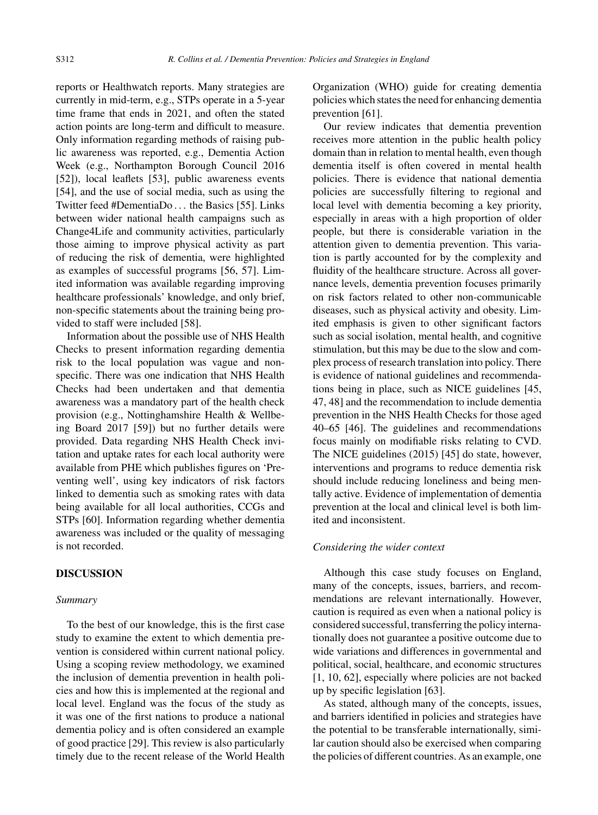reports or Healthwatch reports. Many strategies are currently in mid-term, e.g., STPs operate in a 5-year time frame that ends in 2021, and often the stated action points are long-term and difficult to measure. Only information regarding methods of raising public awareness was reported, e.g., Dementia Action Week (e.g., Northampton Borough Council 2016 [52]), local leaflets [53], public awareness events [54], and the use of social media, such as using the Twitter feed #DementiaDo . . . the Basics [55]. Links between wider national health campaigns such as Change4Life and community activities, particularly those aiming to improve physical activity as part of reducing the risk of dementia, were highlighted as examples of successful programs [56, 57]. Limited information was available regarding improving healthcare professionals' knowledge, and only brief, non-specific statements about the training being provided to staff were included [58].

Information about the possible use of NHS Health Checks to present information regarding dementia risk to the local population was vague and nonspecific. There was one indication that NHS Health Checks had been undertaken and that dementia awareness was a mandatory part of the health check provision (e.g., Nottinghamshire Health & Wellbeing Board 2017 [59]) but no further details were provided. Data regarding NHS Health Check invitation and uptake rates for each local authority were available from PHE which publishes figures on 'Preventing well', using key indicators of risk factors linked to dementia such as smoking rates with data being available for all local authorities, CCGs and STPs [60]. Information regarding whether dementia awareness was included or the quality of messaging is not recorded.

#### **DISCUSSION**

#### *Summary*

To the best of our knowledge, this is the first case study to examine the extent to which dementia prevention is considered within current national policy. Using a scoping review methodology, we examined the inclusion of dementia prevention in health policies and how this is implemented at the regional and local level. England was the focus of the study as it was one of the first nations to produce a national dementia policy and is often considered an example of good practice [29]. This review is also particularly timely due to the recent release of the World Health

Organization (WHO) guide for creating dementia policies which states the need for enhancing dementia prevention [61].

Our review indicates that dementia prevention receives more attention in the public health policy domain than in relation to mental health, even though dementia itself is often covered in mental health policies. There is evidence that national dementia policies are successfully filtering to regional and local level with dementia becoming a key priority, especially in areas with a high proportion of older people, but there is considerable variation in the attention given to dementia prevention. This variation is partly accounted for by the complexity and fluidity of the healthcare structure. Across all governance levels, dementia prevention focuses primarily on risk factors related to other non-communicable diseases, such as physical activity and obesity. Limited emphasis is given to other significant factors such as social isolation, mental health, and cognitive stimulation, but this may be due to the slow and complex process of research translation into policy. There is evidence of national guidelines and recommendations being in place, such as NICE guidelines [45, 47, 48] and the recommendation to include dementia prevention in the NHS Health Checks for those aged 40–65 [46]. The guidelines and recommendations focus mainly on modifiable risks relating to CVD. The NICE guidelines (2015) [45] do state, however, interventions and programs to reduce dementia risk should include reducing loneliness and being mentally active. Evidence of implementation of dementia prevention at the local and clinical level is both limited and inconsistent.

#### *Considering the wider context*

Although this case study focuses on England, many of the concepts, issues, barriers, and recommendations are relevant internationally. However, caution is required as even when a national policy is considered successful, transferring the policy internationally does not guarantee a positive outcome due to wide variations and differences in governmental and political, social, healthcare, and economic structures [1, 10, 62], especially where policies are not backed up by specific legislation [63].

As stated, although many of the concepts, issues, and barriers identified in policies and strategies have the potential to be transferable internationally, similar caution should also be exercised when comparing the policies of different countries. As an example, one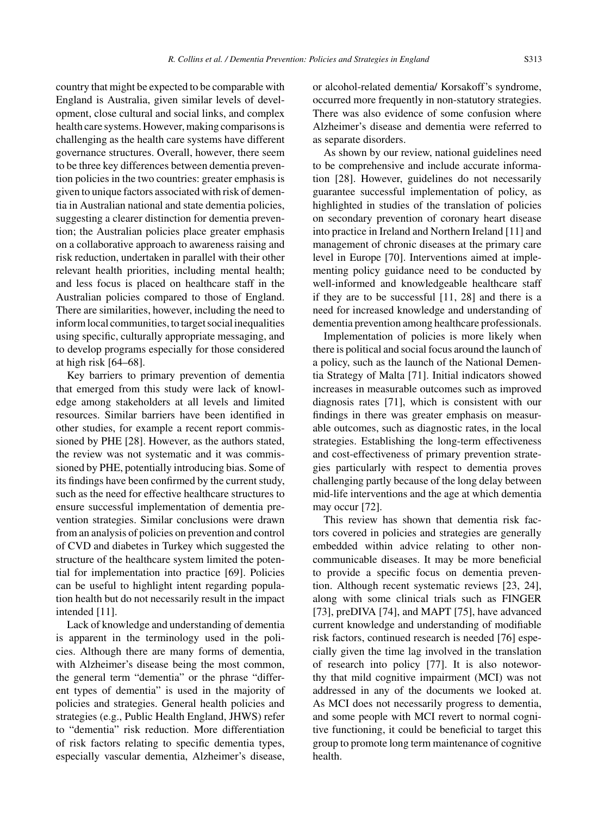country that might be expected to be comparable with England is Australia, given similar levels of development, close cultural and social links, and complex health care systems. However, making comparisons is challenging as the health care systems have different governance structures. Overall, however, there seem to be three key differences between dementia prevention policies in the two countries: greater emphasis is given to unique factors associated with risk of dementia in Australian national and state dementia policies, suggesting a clearer distinction for dementia prevention; the Australian policies place greater emphasis on a collaborative approach to awareness raising and risk reduction, undertaken in parallel with their other relevant health priorities, including mental health; and less focus is placed on healthcare staff in the Australian policies compared to those of England. There are similarities, however, including the need to inform local communities, to target social inequalities using specific, culturally appropriate messaging, and to develop programs especially for those considered at high risk [64–68].

Key barriers to primary prevention of dementia that emerged from this study were lack of knowledge among stakeholders at all levels and limited resources. Similar barriers have been identified in other studies, for example a recent report commissioned by PHE [28]. However, as the authors stated, the review was not systematic and it was commissioned by PHE, potentially introducing bias. Some of its findings have been confirmed by the current study, such as the need for effective healthcare structures to ensure successful implementation of dementia prevention strategies. Similar conclusions were drawn from an analysis of policies on prevention and control of CVD and diabetes in Turkey which suggested the structure of the healthcare system limited the potential for implementation into practice [69]. Policies can be useful to highlight intent regarding population health but do not necessarily result in the impact intended [11].

Lack of knowledge and understanding of dementia is apparent in the terminology used in the policies. Although there are many forms of dementia, with Alzheimer's disease being the most common, the general term "dementia" or the phrase "different types of dementia" is used in the majority of policies and strategies. General health policies and strategies (e.g., Public Health England, JHWS) refer to "dementia" risk reduction. More differentiation of risk factors relating to specific dementia types, especially vascular dementia, Alzheimer's disease,

or alcohol-related dementia/ Korsakoff's syndrome, occurred more frequently in non-statutory strategies. There was also evidence of some confusion where Alzheimer's disease and dementia were referred to as separate disorders.

As shown by our review, national guidelines need to be comprehensive and include accurate information [28]. However, guidelines do not necessarily guarantee successful implementation of policy, as highlighted in studies of the translation of policies on secondary prevention of coronary heart disease into practice in Ireland and Northern Ireland [11] and management of chronic diseases at the primary care level in Europe [70]. Interventions aimed at implementing policy guidance need to be conducted by well-informed and knowledgeable healthcare staff if they are to be successful [11, 28] and there is a need for increased knowledge and understanding of dementia prevention among healthcare professionals.

Implementation of policies is more likely when there is political and social focus around the launch of a policy, such as the launch of the National Dementia Strategy of Malta [71]. Initial indicators showed increases in measurable outcomes such as improved diagnosis rates [71], which is consistent with our findings in there was greater emphasis on measurable outcomes, such as diagnostic rates, in the local strategies. Establishing the long-term effectiveness and cost-effectiveness of primary prevention strategies particularly with respect to dementia proves challenging partly because of the long delay between mid-life interventions and the age at which dementia may occur [72].

This review has shown that dementia risk factors covered in policies and strategies are generally embedded within advice relating to other noncommunicable diseases. It may be more beneficial to provide a specific focus on dementia prevention. Although recent systematic reviews [23, 24], along with some clinical trials such as FINGER [73], preDIVA [74], and MAPT [75], have advanced current knowledge and understanding of modifiable risk factors, continued research is needed [76] especially given the time lag involved in the translation of research into policy [77]. It is also noteworthy that mild cognitive impairment (MCI) was not addressed in any of the documents we looked at. As MCI does not necessarily progress to dementia, and some people with MCI revert to normal cognitive functioning, it could be beneficial to target this group to promote long term maintenance of cognitive health.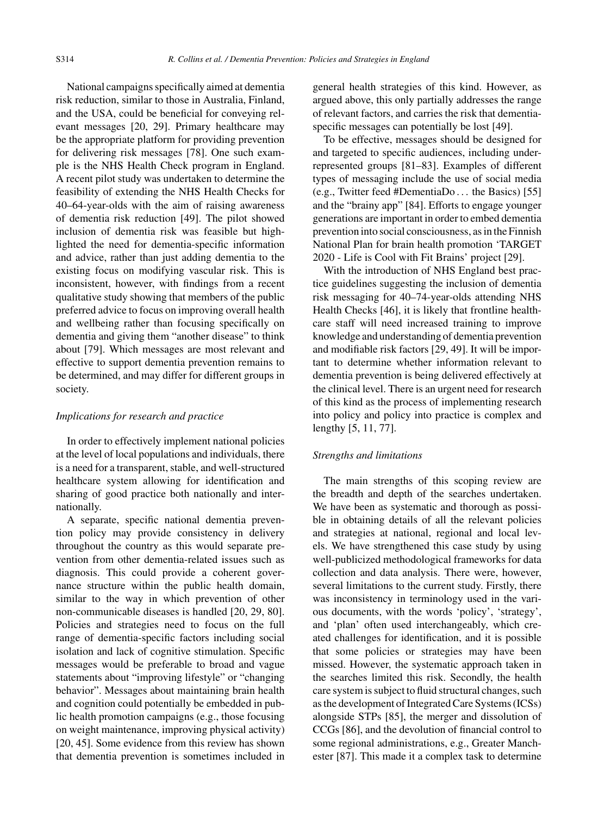National campaigns specifically aimed at dementia risk reduction, similar to those in Australia, Finland, and the USA, could be beneficial for conveying relevant messages [20, 29]. Primary healthcare may be the appropriate platform for providing prevention for delivering risk messages [78]. One such example is the NHS Health Check program in England. A recent pilot study was undertaken to determine the feasibility of extending the NHS Health Checks for 40–64-year-olds with the aim of raising awareness of dementia risk reduction [49]. The pilot showed inclusion of dementia risk was feasible but highlighted the need for dementia-specific information and advice, rather than just adding dementia to the existing focus on modifying vascular risk. This is inconsistent, however, with findings from a recent qualitative study showing that members of the public preferred advice to focus on improving overall health and wellbeing rather than focusing specifically on dementia and giving them "another disease" to think about [79]. Which messages are most relevant and effective to support dementia prevention remains to be determined, and may differ for different groups in society.

## *Implications for research and practice*

In order to effectively implement national policies at the level of local populations and individuals, there is a need for a transparent, stable, and well-structured healthcare system allowing for identification and sharing of good practice both nationally and internationally.

A separate, specific national dementia prevention policy may provide consistency in delivery throughout the country as this would separate prevention from other dementia-related issues such as diagnosis. This could provide a coherent governance structure within the public health domain, similar to the way in which prevention of other non-communicable diseases is handled [20, 29, 80]. Policies and strategies need to focus on the full range of dementia-specific factors including social isolation and lack of cognitive stimulation. Specific messages would be preferable to broad and vague statements about "improving lifestyle" or "changing behavior". Messages about maintaining brain health and cognition could potentially be embedded in public health promotion campaigns (e.g., those focusing on weight maintenance, improving physical activity) [20, 45]. Some evidence from this review has shown that dementia prevention is sometimes included in

general health strategies of this kind. However, as argued above, this only partially addresses the range of relevant factors, and carries the risk that dementiaspecific messages can potentially be lost [49].

To be effective, messages should be designed for and targeted to specific audiences, including underrepresented groups [81–83]. Examples of different types of messaging include the use of social media (e.g., Twitter feed #DementiaDo . . . the Basics) [55] and the "brainy app" [84]. Efforts to engage younger generations are important in order to embed dementia prevention into social consciousness, as in the Finnish National Plan for brain health promotion 'TARGET 2020 - Life is Cool with Fit Brains' project [29].

With the introduction of NHS England best practice guidelines suggesting the inclusion of dementia risk messaging for 40–74-year-olds attending NHS Health Checks [46], it is likely that frontline healthcare staff will need increased training to improve knowledge and understanding of dementia prevention and modifiable risk factors [29, 49]. It will be important to determine whether information relevant to dementia prevention is being delivered effectively at the clinical level. There is an urgent need for research of this kind as the process of implementing research into policy and policy into practice is complex and lengthy [5, 11, 77].

#### *Strengths and limitations*

The main strengths of this scoping review are the breadth and depth of the searches undertaken. We have been as systematic and thorough as possible in obtaining details of all the relevant policies and strategies at national, regional and local levels. We have strengthened this case study by using well-publicized methodological frameworks for data collection and data analysis. There were, however, several limitations to the current study. Firstly, there was inconsistency in terminology used in the various documents, with the words 'policy', 'strategy', and 'plan' often used interchangeably, which created challenges for identification, and it is possible that some policies or strategies may have been missed. However, the systematic approach taken in the searches limited this risk. Secondly, the health care system is subject to fluid structural changes, such as the development of Integrated Care Systems (ICSs) alongside STPs [85], the merger and dissolution of CCGs [86], and the devolution of financial control to some regional administrations, e.g., Greater Manchester [87]. This made it a complex task to determine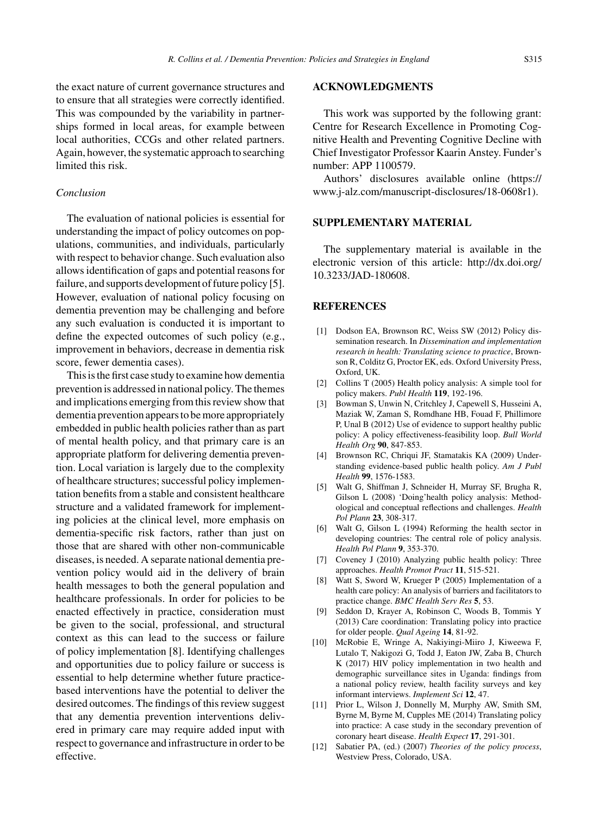the exact nature of current governance structures and to ensure that all strategies were correctly identified. This was compounded by the variability in partnerships formed in local areas, for example between local authorities, CCGs and other related partners. Again, however, the systematic approach to searching limited this risk.

### *Conclusion*

The evaluation of national policies is essential for understanding the impact of policy outcomes on populations, communities, and individuals, particularly with respect to behavior change. Such evaluation also allows identification of gaps and potential reasons for failure, and supports development of future policy [5]. However, evaluation of national policy focusing on dementia prevention may be challenging and before any such evaluation is conducted it is important to define the expected outcomes of such policy (e.g., improvement in behaviors, decrease in dementia risk score, fewer dementia cases).

This is the first case study to examine how dementia prevention is addressed in national policy. The themes and implications emerging from this review show that dementia prevention appears to be more appropriately embedded in public health policies rather than as part of mental health policy, and that primary care is an appropriate platform for delivering dementia prevention. Local variation is largely due to the complexity of healthcare structures; successful policy implementation benefits from a stable and consistent healthcare structure and a validated framework for implementing policies at the clinical level, more emphasis on dementia-specific risk factors, rather than just on those that are shared with other non-communicable diseases, is needed. A separate national dementia prevention policy would aid in the delivery of brain health messages to both the general population and healthcare professionals. In order for policies to be enacted effectively in practice, consideration must be given to the social, professional, and structural context as this can lead to the success or failure of policy implementation [8]. Identifying challenges and opportunities due to policy failure or success is essential to help determine whether future practicebased interventions have the potential to deliver the desired outcomes. The findings of this review suggest that any dementia prevention interventions delivered in primary care may require added input with respect to governance and infrastructure in order to be effective.

#### **ACKNOWLEDGMENTS**

This work was supported by the following grant: Centre for Research Excellence in Promoting Cognitive Health and Preventing Cognitive Decline with Chief Investigator Professor Kaarin Anstey. Funder's number: APP 1100579.

Authors' disclosures available online [\(https://](https://www.j-alz.com/manuscript-disclosures/18-0608r1) [www.j-alz.com/manuscript-disclosures/18-0608r1\)](https://www.j-alz.com/manuscript-disclosures/18-0608r1).

#### **SUPPLEMENTARY MATERIAL**

The supplementary material is available in the electronic version of this article: [http://dx.doi.org/](http://dx.doi.org/10.3233/JAD-180608) [10.3233/JAD-180608.](http://dx.doi.org/10.3233/JAD-180608)

#### **REFERENCES**

- [1] Dodson EA, Brownson RC, Weiss SW (2012) Policy dissemination research. In *Dissemination and implementation research in health: Translating science to practice*, Brownson R, Colditz G, Proctor EK, eds. Oxford University Press, Oxford, UK.
- [2] Collins T (2005) Health policy analysis: A simple tool for policy makers. *Publ Health* **119**, 192-196.
- [3] Bowman S, Unwin N, Critchley J, Capewell S, Husseini A, Maziak W, Zaman S, Romdhane HB, Fouad F, Phillimore P, Unal B (2012) Use of evidence to support healthy public policy: A policy effectiveness-feasibility loop. *Bull World Health Org* **90**, 847-853.
- [4] Brownson RC, Chriqui JF, Stamatakis KA (2009) Understanding evidence-based public health policy. *Am J Publ Health* **99**, 1576-1583.
- [5] Walt G, Shiffman J, Schneider H, Murray SF, Brugha R, Gilson L (2008) 'Doing'health policy analysis: Methodological and conceptual reflections and challenges. *Health Pol Plann* **23**, 308-317.
- [6] Walt G, Gilson L (1994) Reforming the health sector in developing countries: The central role of policy analysis. *Health Pol Plann* **9**, 353-370.
- [7] Coveney J (2010) Analyzing public health policy: Three approaches. *Health Promot Pract* **11**, 515-521.
- [8] Watt S, Sword W, Krueger P (2005) Implementation of a health care policy: An analysis of barriers and facilitators to practice change. *BMC Health Serv Res* **5**, 53.
- [9] Seddon D, Krayer A, Robinson C, Woods B, Tommis Y (2013) Care coordination: Translating policy into practice for older people. *Qual Ageing* **14**, 81-92.
- [10] McRobie E, Wringe A, Nakiyingi-Miiro J, Kiweewa F, Lutalo T, Nakigozi G, Todd J, Eaton JW, Zaba B, Church K (2017) HIV policy implementation in two health and demographic surveillance sites in Uganda: findings from a national policy review, health facility surveys and key informant interviews. *Implement Sci* **12**, 47.
- [11] Prior L, Wilson J, Donnelly M, Murphy AW, Smith SM, Byrne M, Byrne M, Cupples ME (2014) Translating policy into practice: A case study in the secondary prevention of coronary heart disease. *Health Expect* **17**, 291-301.
- [12] Sabatier PA, (ed.) (2007) *Theories of the policy process*, Westview Press, Colorado, USA.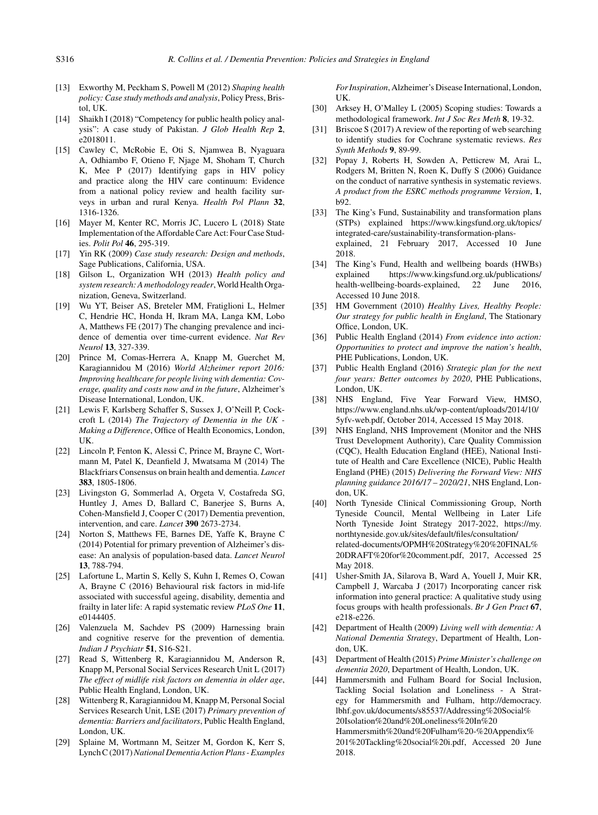- [13] Exworthy M, Peckham S, Powell M (2012) *Shaping health policy: Case study methods and analysis*, Policy Press, Bristol, UK.
- [14] Shaikh I (2018) "Competency for public health policy analysis": A case study of Pakistan. *J Glob Health Rep* **2**, e2018011.
- [15] Cawley C, McRobie E, Oti S, Njamwea B, Nyaguara A, Odhiambo F, Otieno F, Njage M, Shoham T, Church K, Mee P (2017) Identifying gaps in HIV policy and practice along the HIV care continuum: Evidence from a national policy review and health facility surveys in urban and rural Kenya. *Health Pol Plann* **32**, 1316-1326.
- [16] Mayer M, Kenter RC, Morris JC, Lucero L (2018) State Implementation of the Affordable Care Act: Four Case Studies. *Polit Pol* **46**, 295-319.
- [17] Yin RK (2009) *Case study research: Design and methods*, Sage Publications, California, USA.
- [18] Gilson L, Organization WH (2013) *Health policy and system research: A methodology reader*, World Health Organization, Geneva, Switzerland.
- [19] Wu YT, Beiser AS, Breteler MM, Fratiglioni L, Helmer C, Hendrie HC, Honda H, Ikram MA, Langa KM, Lobo A, Matthews FE (2017) The changing prevalence and incidence of dementia over time-current evidence. *Nat Rev Neurol* **13**, 327-339.
- [20] Prince M, Comas-Herrera A, Knapp M, Guerchet M, Karagiannidou M (2016) *World Alzheimer report 2016: Improving healthcare for people living with dementia: Coverage, quality and costs now and in the future*, Alzheimer's Disease International, London, UK.
- [21] Lewis F, Karlsberg Schaffer S, Sussex J, O'Neill P, Cockcroft L (2014) *The Trajectory of Dementia in the UK - Making a Difference*, Office of Health Economics, London, UK.
- [22] Lincoln P, Fenton K, Alessi C, Prince M, Brayne C, Wortmann M, Patel K, Deanfield J, Mwatsama M (2014) The Blackfriars Consensus on brain health and dementia. *Lancet* **383**, 1805-1806.
- [23] Livingston G, Sommerlad A, Orgeta V, Costafreda SG, Huntley J, Ames D, Ballard C, Banerjee S, Burns A, Cohen-Mansfield J, Cooper C (2017) Dementia prevention, intervention, and care. *Lancet* **390** 2673-2734.
- [24] Norton S, Matthews FE, Barnes DE, Yaffe K, Brayne C (2014) Potential for primary prevention of Alzheimer's disease: An analysis of population-based data. *Lancet Neurol* **13**, 788-794.
- [25] Lafortune L, Martin S, Kelly S, Kuhn I, Remes O, Cowan A, Brayne C (2016) Behavioural risk factors in mid-life associated with successful ageing, disability, dementia and frailty in later life: A rapid systematic review *PLoS One* **11**, e0144405.
- [26] Valenzuela M, Sachdev PS (2009) Harnessing brain and cognitive reserve for the prevention of dementia. *Indian J Psychiatr* **51**, S16-S21.
- [27] Read S, Wittenberg R, Karagiannidou M, Anderson R, Knapp M, Personal Social Services Research Unit L (2017) *The effect of midlife risk factors on dementia in older age*, Public Health England, London, UK.
- [28] Wittenberg R, Karagiannidou M, Knapp M, Personal Social Services Research Unit, LSE (2017) *Primary prevention of dementia: Barriers and facilitators*, Public Health England, London, UK.
- [29] Splaine M, Wortmann M, Seitzer M, Gordon K, Kerr S, Lynch C (2017)*National Dementia Action Plans - Examples*

*For Inspiration*, Alzheimer's Disease International, London, UK.

- [30] Arksey H, O'Malley L (2005) Scoping studies: Towards a methodological framework. *Int J Soc Res Meth* **8**, 19-32.
- [31] Briscoe S (2017) A review of the reporting of web searching to identify studies for Cochrane systematic reviews. *Res Synth Methods* **9**, 89-99.
- [32] Popay J, Roberts H, Sowden A, Petticrew M, Arai L, Rodgers M, Britten N, Roen K, Duffy S (2006) Guidance on the conduct of narrative synthesis in systematic reviews. *A product from the ESRC methods programme Version*, **1**, b92.
- [33] The King's Fund, Sustainability and transformation plans (STPs) explained [https://www.kingsfund.org.uk/topics/](https://www.kingsfund.org.uk/topics/integrated-care/sustainability-transformation-plans-explained) [integrated-care/sustainability-transformation-plans](https://www.kingsfund.org.uk/topics/integrated-care/sustainability-transformation-plans-explained)explained, 21 February 2017, Accessed 10 June 2018.
- [34] The King's Fund, Health and wellbeing boards (HWBs) explained [https://www.kingsfund.org.uk/publications/](https://www.kingsfund.org.uk/publications/health-wellbeing-boards-explained) [health-wellbeing-boards-explained,](https://www.kingsfund.org.uk/publications/health-wellbeing-boards-explained) 22 June 2016, Accessed 10 June 2018.
- [35] HM Government (2010) *Healthy Lives, Healthy People: Our strategy for public health in England*, The Stationary Office, London, UK.
- [36] Public Health England (2014) *From evidence into action: Opportunities to protect and improve the nation's health*, PHE Publications, London, UK.
- [37] Public Health England (2016) *Strategic plan for the next four years: Better outcomes by 2020*, PHE Publications, London, UK.
- [38] NHS England, Five Year Forward View, HMSO, [https://www.england.nhs.uk/wp-content/uploads/2014/10/](https://www.england.nhs.uk/wp-content/uploads/2014/10/5yfv-web.pdf) [5yfv-web.pdf,](https://www.england.nhs.uk/wp-content/uploads/2014/10/5yfv-web.pdf) October 2014, Accessed 15 May 2018.
- [39] NHS England, NHS Improvement (Monitor and the NHS Trust Development Authority), Care Quality Commission (CQC), Health Education England (HEE), National Institute of Health and Care Excellence (NICE), Public Health England (PHE) (2015) *Delivering the Forward View: NHS planning guidance 2016/17* – *2020/21*, NHS England, London, UK.
- [40] North Tyneside Clinical Commissioning Group, North Tyneside Council, Mental Wellbeing in Later Life North Tyneside Joint Strategy 2017-2022, [https://my.](https://my.northtyneside.gov.uk/sites/default/files/consultation/related-documents/OPMH%20Strategy%20%20FINAL%20DRAFT%20for%20comment.pdf) [northtyneside.gov.uk/sites/default/files/consultation/](https://my.northtyneside.gov.uk/sites/default/files/consultation/related-documents/OPMH%20Strategy%20%20FINAL%20DRAFT%20for%20comment.pdf) [related-documents/OPMH%20Strategy%20%20FINAL%](https://my.northtyneside.gov.uk/sites/default/files/consultation/related-documents/OPMH%20Strategy%20%20FINAL%20DRAFT%20for%20comment.pdf) 20DRAFT%20for%20comment.pdf, 2017, Accessed 25 May 2018.
- [41] Usher-Smith JA, Silarova B, Ward A, Youell J, Muir KR, Campbell J, Warcaba J (2017) Incorporating cancer risk information into general practice: A qualitative study using focus groups with health professionals. *Br J Gen Pract* **67**, e218-e226.
- [42] Department of Health (2009) *Living well with dementia: A National Dementia Strategy*, Department of Health, London, UK.
- [43] Department of Health (2015) *Prime Minister's challenge on dementia 2020*, Department of Health, London, UK.
- [44] Hammersmith and Fulham Board for Social Inclusion, Tackling Social Isolation and Loneliness - A Strategy for Hammersmith and Fulham, [http://democracy.](http://democracy.lbhf.gov.uk/documents/s85537/Addressing%20Social%20Isolation%20and%20Loneliness%20In%20Hammersmith%20and%20Fulham%20-%20Appendix%201%20Tackling%20social%20i.pdf) [lbhf.gov.uk/documents/s85537/Addressing%20Social%](http://democracy.lbhf.gov.uk/documents/s85537/Addressing%20Social%20Isolation%20and%20Loneliness%20In%20Hammersmith%20and%20Fulham%20-%20Appendix%201%20Tackling%20social%20i.pdf) [20Isolation%20and%20Loneliness%20In%20](http://democracy.lbhf.gov.uk/documents/s85537/Addressing%20Social%20Isolation%20and%20Loneliness%20In%20Hammersmith%20and%20Fulham%20-%20Appendix%201%20Tackling%20social%20i.pdf) Hammersmith%20and%20Fulham%20-%20Appendix% 201%20Tackling%20social%20i.pdf, Accessed 20 June 2018.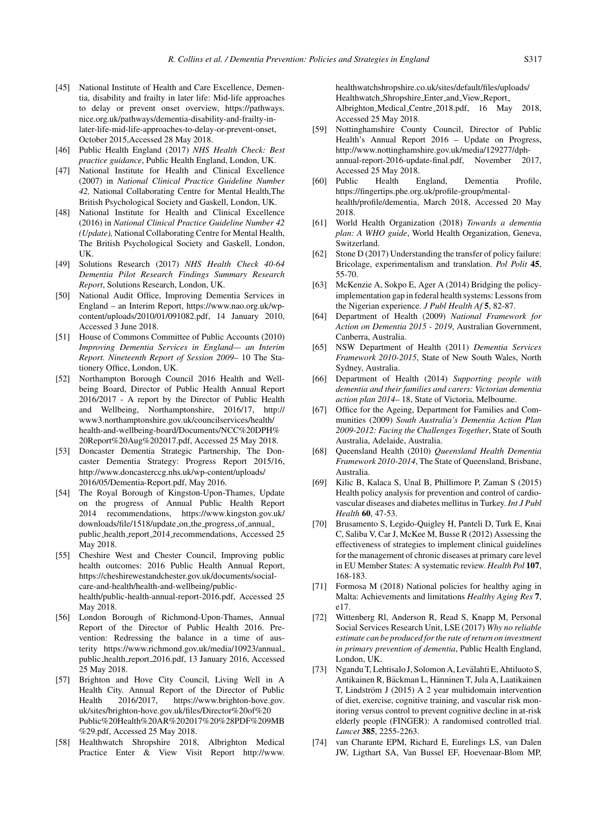- [45] National Institute of Health and Care Excellence, Dementia, disability and frailty in later life: Mid-life approaches to delay or prevent onset overview, [https://pathways.](https://pathways.nice.org.uk/pathways/dementia-disability-and-frailty-in-later-life-mid-life-approaches-to-delay-or-prevent-onset) [nice.org.uk/pathways/dementia-disability-and-frailty-in](https://pathways.nice.org.uk/pathways/dementia-disability-and-frailty-in-later-life-mid-life-approaches-to-delay-or-prevent-onset)later-life-mid-life-approaches-to-delay-or-prevent-onset, October 2015,Accessed 28 May 2018.
- [46] Public Health England (2017) *NHS Health Check: Best practice guidance*, Public Health England, London, UK.
- [47] National Institute for Health and Clinical Excellence (2007) in *National Clinical Practice Guideline Number 42,* National Collaborating Centre for Mental Health,The British Psychological Society and Gaskell, London, UK.
- [48] National Institute for Health and Clinical Excellence (2016) in *National Clinical Practice Guideline Number 42 (Update),* National Collaborating Centre for Mental Health, The British Psychological Society and Gaskell, London, UK.
- [49] Solutions Research (2017) *NHS Health Check 40-64 Dementia Pilot Research Findings Summary Research Report*, Solutions Research, London, UK.
- [50] National Audit Office, Improving Dementia Services in England – an Interim Report, [https://www.nao.org.uk/wp](https://www.nao.org.uk/wp-content/uploads/2010/01/091082.pdf)content/uploads/2010/01/091082.pdf, 14 January 2010, Accessed 3 June 2018.
- [51] House of Commons Committee of Public Accounts (2010) *Improving Dementia Services in England— an Interim Report. Nineteenth Report of Session 2009*– 10 The Stationery Office, London, UK.
- [52] Northampton Borough Council 2016 Health and Wellbeing Board, Director of Public Health Annual Report 2016/2017 - A report by the Director of Public Health and Wellbeing, Northamptonshire, 2016/17, [http://](http://www3.northamptonshire.gov.uk/councilservices/health/health-and-wellbeing-board/Documents/NCC%20DPH%20Report%20Aug%202017.pdf) [www3.northamptonshire.gov.uk/councilservices/health/](http://www3.northamptonshire.gov.uk/councilservices/health/health-and-wellbeing-board/Documents/NCC%20DPH%20Report%20Aug%202017.pdf) [health-and-wellbeing-board/Documents/NCC%20DPH%](http://www3.northamptonshire.gov.uk/councilservices/health/health-and-wellbeing-board/Documents/NCC%20DPH%20Report%20Aug%202017.pdf) 20Report%20Aug%202017.pdf, Accessed 25 May 2018.
- [53] Doncaster Dementia Strategic Partnership, The Doncaster Dementia Strategy: Progress Report 2015/16, [http://www.doncasterccg.nhs.uk/wp-content/uploads/](http://www.doncasterccg.nhs.uk/wp-content/uploads/2016/05/Dementia-Report.pdf) [2016/05/Dementia-Report.pdf](http://www.doncasterccg.nhs.uk/wp-content/uploads/2016/05/Dementia-Report.pdf), May 2016.
- [54] The Royal Borough of Kingston-Upon-Thames, Update on the progress of Annual Public Health Report 2014 recommendations, [https://www.kingston.gov.uk/](https://www.kingston.gov.uk/downloads/file/1518/update_on_the_progress_of_annual_public_health_report_2014_recommendations) [downloads/file/1518/update](https://www.kingston.gov.uk/downloads/file/1518/update_on_the_progress_of_annual_public_health_report_2014_recommendations)\_on\_the\_progress\_of\_annual\_ public health report 2014 [recommendations](https://www.kingston.gov.uk/downloads/file/1518/update_on_the_progress_of_annual_public_health_report_2014_recommendations), Accessed 25 May 2018.
- [55] Cheshire West and Chester Council, Improving public health outcomes: 2016 Public Health Annual Report, [https://cheshirewestandchester.gov.uk/documents/social](https://cheshirewestandchester.gov.uk/documents/social-care-and-health/health-and-wellbeing/public-health/public-health-annual-report-2016.pdf)care-and-health/health-and-wellbeing/publichealth/public-health-annual-report-2016.pdf, Accessed 25 May 2018.
- [56] London Borough of Richmond-Upon-Thames, Annual Report of the Director of Public Health 2016. Prevention: Redressing the balance in a time of austerity [https://www.richmond.gov.uk/media/10923/annual](https://www.richmond.gov.uk/media/10923/annual_public_health_report_2016.pdf) public health report [2016.pdf,](https://www.richmond.gov.uk/media/10923/annual_public_health_report_2016.pdf) 13 January 2016, Accessed 25 May 2018.
- [57] Brighton and Hove City Council, Living Well in A Health City. Annual Report of the Director of Public<br>Health 2016/2017, https://www.brighton-hove.gov. Health 2016/2017, [https://www.brighton-hove.gov.](https://www.brighton-hove.gov.uk/sites/brighton-hove.gov.uk/files/Director%20of%20Public%20Health%20AR%202017%20%28PDF%209MB%29.pdf) [uk/sites/brighton-hove.gov.uk/files/Director%20of%20](https://www.brighton-hove.gov.uk/sites/brighton-hove.gov.uk/files/Director%20of%20Public%20Health%20AR%202017%20%28PDF%209MB%29.pdf) [Public%20Health%20AR%202017%20%28PDF%209MB](https://www.brighton-hove.gov.uk/sites/brighton-hove.gov.uk/files/Director%20of%20Public%20Health%20AR%202017%20%28PDF%209MB%29.pdf) %29.pdf, Accessed 25 May 2018.
- [58] Healthwatch Shropshire 2018, Albrighton Medical Practice Enter & View Visit Report [http://www.](http://www.healthwatchshropshire.co.uk/sites/default/files/uploads/Healthwatch_Shropshire_Enter_and_View_Report_Albrighton_Medical_Centre_2018.pdf)

[healthwatchshropshire.co.uk/sites/default/files/uploads/](http://www.healthwatchshropshire.co.uk/sites/default/files/uploads/Healthwatch_Shropshire_Enter_and_View_Report_Albrighton_Medical_Centre_2018.pdf) [Healthwatch](http://www.healthwatchshropshire.co.uk/sites/default/files/uploads/Healthwatch_Shropshire_Enter_and_View_Report_Albrighton_Medical_Centre_2018.pdf) Shropshire Enter and View Report Albrighton Medical Centre 2018.pdf, 16 May 2018, Accessed 25 May 2018.

- [59] Nottinghamshire County Council, Director of Public Health's Annual Report 2016 – Update on Progress, [http://www.nottinghamshire.gov.uk/media/129277/dph](http://www.nottinghamshire.gov.uk/media/129277/dph-annual-report-2016-update-final.pdf)annual-report-2016-update-final.pdf, November 2017, Accessed 25 May 2018.
- [60] Public Health England, Dementia Profile, [https://fingertips.phe.org.uk/profile-group/mental](https://fingertips.phe.org.uk/profile-group/mental-health/profile/dementia)health/profile/dementia, March 2018, Accessed 20 May 2018.
- [61] World Health Organization (2018) *Towards a dementia plan: A WHO guide*, World Health Organization, Geneva, Switzerland.
- [62] Stone D (2017) Understanding the transfer of policy failure: Bricolage, experimentalism and translation. *Pol Polit* **45**, 55-70.
- [63] McKenzie A, Sokpo E, Ager A (2014) Bridging the policyimplementation gap in federal health systems: Lessons from the Nigerian experience. *J Publ Health Af* **5**, 82-87.
- [64] Department of Health (2009) *National Framework for Action on Dementia 2015 - 2019*, Australian Government, Canberra, Australia.
- [65] NSW Department of Health (2011) *Dementia Services Framework 2010-2015*, State of New South Wales, North Sydney, Australia.
- [66] Department of Health (2014) *Supporting people with dementia and their families and carers: Victorian dementia action plan 2014*– 18, State of Victoria, Melbourne.
- [67] Office for the Ageing, Department for Families and Communities (2009) *South Australia's Dementia Action Plan 2009-2012: Facing the Challenges Together*, State of South Australia, Adelaide, Australia.
- [68] Queensland Health (2010) *Queensland Health Dementia Framework 2010-2014*, The State of Queensland, Brisbane, Australia.
- [69] Kilic B, Kalaca S, Unal B, Phillimore P, Zaman S (2015) Health policy analysis for prevention and control of cardiovascular diseases and diabetes mellitus in Turkey. *Int J Publ Health* **60**, 47-53.
- [70] Brusamento S, Legido-Quigley H, Panteli D, Turk E, Knai C, Saliba V, Car J, McKee M, Busse R (2012) Assessing the effectiveness of strategies to implement clinical guidelines for the management of chronic diseases at primary care level in EU Member States: A systematic review. *Health Pol* **107**, 168-183.
- [71] Formosa M (2018) National policies for healthy aging in Malta: Achievements and limitations *Healthy Aging Res* **7**, e17.
- [72] Wittenberg Rl, Anderson R, Read S, Knapp M, Personal Social Services Research Unit, LSE (2017) *Why no reliable estimate can be produced for the rate of return on investment in primary prevention of dementia*, Public Health England, London, UK.
- [73] Ngandu T, Lehtisalo J, Solomon A, Levälahti E, Ahtiluoto S, Antikainen R, Bäckman L, Hänninen T, Jula A, Laatikainen T, Lindström J (2015) A 2 year multidomain intervention of diet, exercise, cognitive training, and vascular risk monitoring versus control to prevent cognitive decline in at-risk elderly people (FINGER): A randomised controlled trial. *Lancet* **385**, 2255-2263.
- [74] van Charante EPM, Richard E, Eurelings LS, van Dalen JW, Ligthart SA, Van Bussel EF, Hoevenaar-Blom MP,